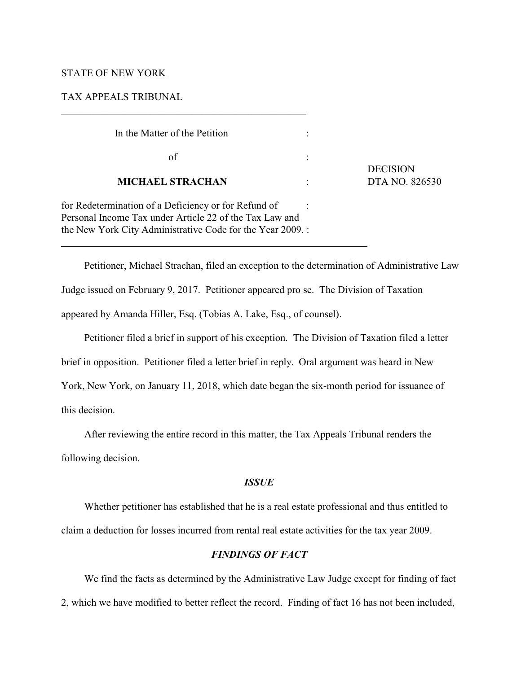#### STATE OF NEW YORK

 $\overline{a}$ 

TAX APPEALS TRIBUNAL

| In the Matter of the Petition                                                                                                                                                |                 |
|------------------------------------------------------------------------------------------------------------------------------------------------------------------------------|-----------------|
| of                                                                                                                                                                           | <b>DECISION</b> |
| <b>MICHAEL STRACHAN</b>                                                                                                                                                      | DTA NO. 826530  |
| for Redetermination of a Deficiency or for Refund of<br>Personal Income Tax under Article 22 of the Tax Law and<br>the New York City Administrative Code for the Year 2009.: |                 |

Petitioner, Michael Strachan, filed an exception to the determination of Administrative Law Judge issued on February 9, 2017. Petitioner appeared pro se. The Division of Taxation appeared by Amanda Hiller, Esq. (Tobias A. Lake, Esq., of counsel).

Petitioner filed a brief in support of his exception. The Division of Taxation filed a letter brief in opposition. Petitioner filed a letter brief in reply. Oral argument was heard in New York, New York, on January 11, 2018, which date began the six-month period for issuance of this decision.

After reviewing the entire record in this matter, the Tax Appeals Tribunal renders the following decision.

## *ISSUE*

Whether petitioner has established that he is a real estate professional and thus entitled to claim a deduction for losses incurred from rental real estate activities for the tax year 2009.

#### *FINDINGS OF FACT*

We find the facts as determined by the Administrative Law Judge except for finding of fact 2, which we have modified to better reflect the record. Finding of fact 16 has not been included,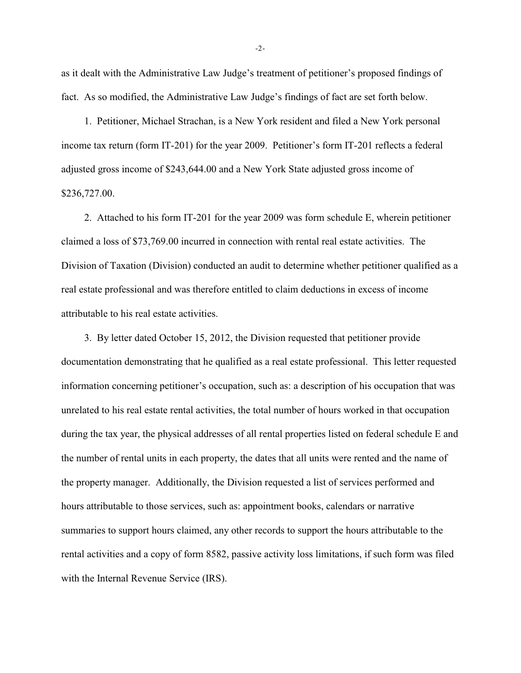as it dealt with the Administrative Law Judge's treatment of petitioner's proposed findings of fact. As so modified, the Administrative Law Judge's findings of fact are set forth below.

1. Petitioner, Michael Strachan, is a New York resident and filed a New York personal income tax return (form IT-201) for the year 2009. Petitioner's form IT-201 reflects a federal adjusted gross income of \$243,644.00 and a New York State adjusted gross income of \$236,727.00.

2. Attached to his form IT-201 for the year 2009 was form schedule E, wherein petitioner claimed a loss of \$73,769.00 incurred in connection with rental real estate activities. The Division of Taxation (Division) conducted an audit to determine whether petitioner qualified as a real estate professional and was therefore entitled to claim deductions in excess of income attributable to his real estate activities.

3. By letter dated October 15, 2012, the Division requested that petitioner provide documentation demonstrating that he qualified as a real estate professional. This letter requested information concerning petitioner's occupation, such as: a description of his occupation that was unrelated to his real estate rental activities, the total number of hours worked in that occupation during the tax year, the physical addresses of all rental properties listed on federal schedule E and the number of rental units in each property, the dates that all units were rented and the name of the property manager. Additionally, the Division requested a list of services performed and hours attributable to those services, such as: appointment books, calendars or narrative summaries to support hours claimed, any other records to support the hours attributable to the rental activities and a copy of form 8582, passive activity loss limitations, if such form was filed with the Internal Revenue Service (IRS).

-2-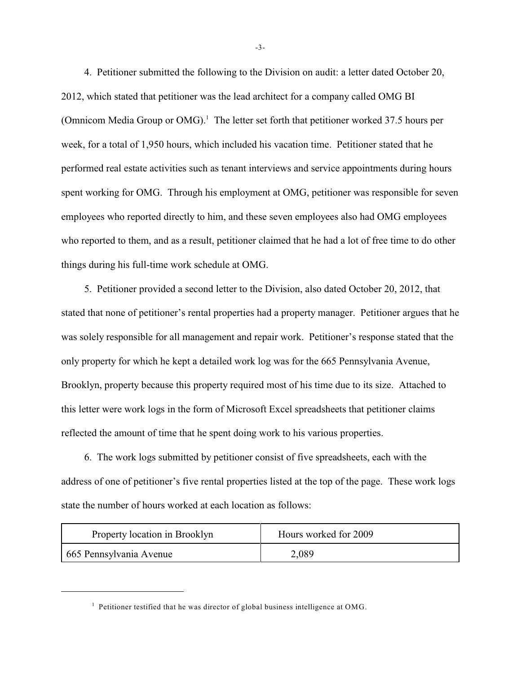4. Petitioner submitted the following to the Division on audit: a letter dated October 20, 2012, which stated that petitioner was the lead architect for a company called OMG BI (Omnicom Media Group or OMG).<sup>1</sup> The letter set forth that petitioner worked 37.5 hours per week, for a total of 1,950 hours, which included his vacation time. Petitioner stated that he performed real estate activities such as tenant interviews and service appointments during hours spent working for OMG. Through his employment at OMG, petitioner was responsible for seven employees who reported directly to him, and these seven employees also had OMG employees who reported to them, and as a result, petitioner claimed that he had a lot of free time to do other things during his full-time work schedule at OMG.

5. Petitioner provided a second letter to the Division, also dated October 20, 2012, that stated that none of petitioner's rental properties had a property manager. Petitioner argues that he was solely responsible for all management and repair work. Petitioner's response stated that the only property for which he kept a detailed work log was for the 665 Pennsylvania Avenue, Brooklyn, property because this property required most of his time due to its size. Attached to this letter were work logs in the form of Microsoft Excel spreadsheets that petitioner claims reflected the amount of time that he spent doing work to his various properties.

6. The work logs submitted by petitioner consist of five spreadsheets, each with the address of one of petitioner's five rental properties listed at the top of the page. These work logs state the number of hours worked at each location as follows:

| Property location in Brooklyn | Hours worked for 2009 |
|-------------------------------|-----------------------|
| 665 Pennsylvania Avenue       | 2,089                 |

-3-

 $<sup>1</sup>$  Petitioner testified that he was director of global business intelligence at OMG.</sup>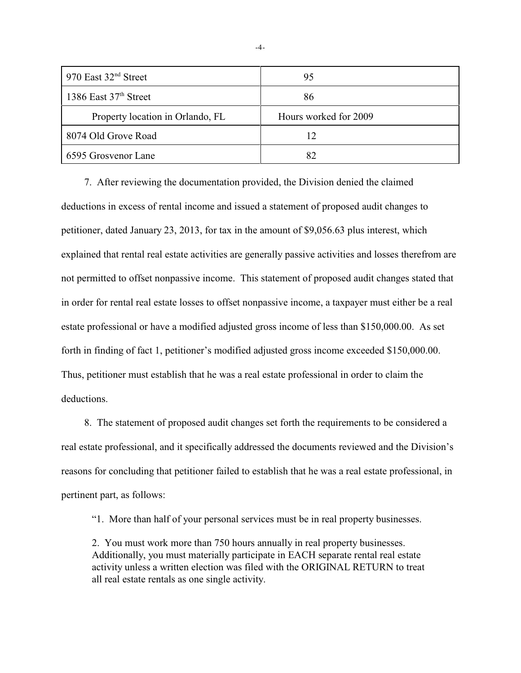| 970 East $32nd$ Street           | 95                    |
|----------------------------------|-----------------------|
| 1386 East $37th$ Street          | 86                    |
| Property location in Orlando, FL | Hours worked for 2009 |
| 8074 Old Grove Road              |                       |
| 6595 Grosvenor Lane              |                       |

7. After reviewing the documentation provided, the Division denied the claimed deductions in excess of rental income and issued a statement of proposed audit changes to petitioner, dated January 23, 2013, for tax in the amount of \$9,056.63 plus interest, which explained that rental real estate activities are generally passive activities and losses therefrom are not permitted to offset nonpassive income. This statement of proposed audit changes stated that in order for rental real estate losses to offset nonpassive income, a taxpayer must either be a real estate professional or have a modified adjusted gross income of less than \$150,000.00. As set forth in finding of fact 1, petitioner's modified adjusted gross income exceeded \$150,000.00. Thus, petitioner must establish that he was a real estate professional in order to claim the deductions.

8. The statement of proposed audit changes set forth the requirements to be considered a real estate professional, and it specifically addressed the documents reviewed and the Division's reasons for concluding that petitioner failed to establish that he was a real estate professional, in pertinent part, as follows:

"1. More than half of your personal services must be in real property businesses.

2. You must work more than 750 hours annually in real property businesses. Additionally, you must materially participate in EACH separate rental real estate activity unless a written election was filed with the ORIGINAL RETURN to treat all real estate rentals as one single activity.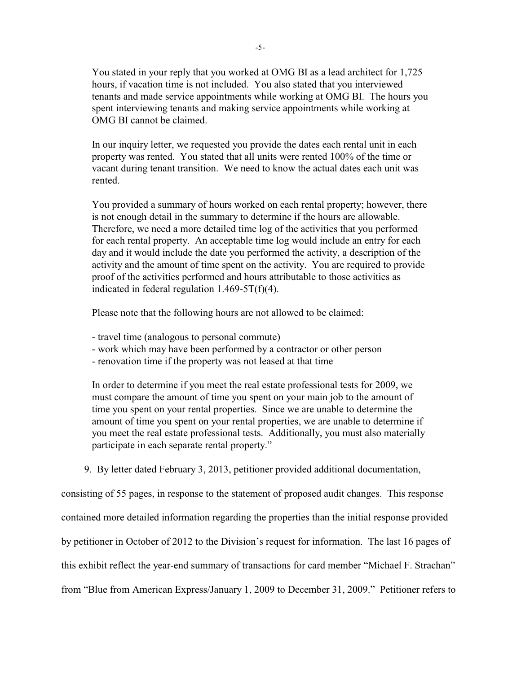You stated in your reply that you worked at OMG BI as a lead architect for 1,725 hours, if vacation time is not included. You also stated that you interviewed tenants and made service appointments while working at OMG BI. The hours you spent interviewing tenants and making service appointments while working at OMG BI cannot be claimed.

In our inquiry letter, we requested you provide the dates each rental unit in each property was rented. You stated that all units were rented 100% of the time or vacant during tenant transition. We need to know the actual dates each unit was rented.

You provided a summary of hours worked on each rental property; however, there is not enough detail in the summary to determine if the hours are allowable. Therefore, we need a more detailed time log of the activities that you performed for each rental property. An acceptable time log would include an entry for each day and it would include the date you performed the activity, a description of the activity and the amount of time spent on the activity. You are required to provide proof of the activities performed and hours attributable to those activities as indicated in federal regulation  $1.469-5T(f)(4)$ .

Please note that the following hours are not allowed to be claimed:

- travel time (analogous to personal commute)
- work which may have been performed by a contractor or other person
- renovation time if the property was not leased at that time

In order to determine if you meet the real estate professional tests for 2009, we must compare the amount of time you spent on your main job to the amount of time you spent on your rental properties. Since we are unable to determine the amount of time you spent on your rental properties, we are unable to determine if you meet the real estate professional tests. Additionally, you must also materially participate in each separate rental property."

9. By letter dated February 3, 2013, petitioner provided additional documentation,

consisting of 55 pages, in response to the statement of proposed audit changes. This response contained more detailed information regarding the properties than the initial response provided

by petitioner in October of 2012 to the Division's request for information. The last 16 pages of

this exhibit reflect the year-end summary of transactions for card member "Michael F. Strachan"

from "Blue from American Express/January 1, 2009 to December 31, 2009." Petitioner refers to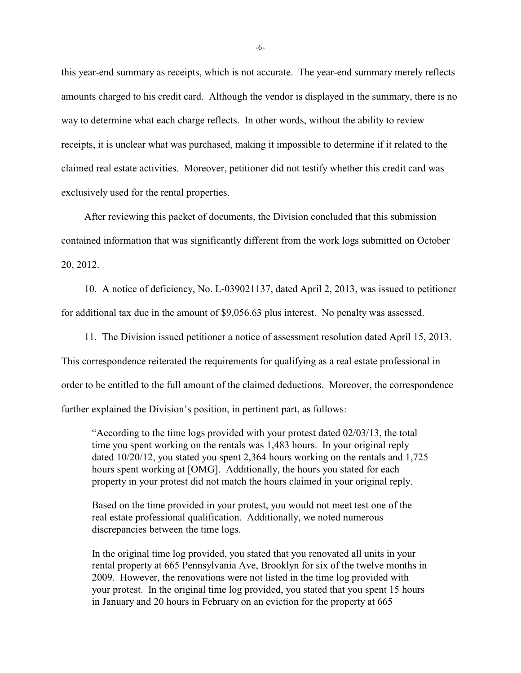this year-end summary as receipts, which is not accurate. The year-end summary merely reflects amounts charged to his credit card. Although the vendor is displayed in the summary, there is no way to determine what each charge reflects. In other words, without the ability to review receipts, it is unclear what was purchased, making it impossible to determine if it related to the claimed real estate activities. Moreover, petitioner did not testify whether this credit card was exclusively used for the rental properties.

After reviewing this packet of documents, the Division concluded that this submission contained information that was significantly different from the work logs submitted on October 20, 2012.

10. A notice of deficiency, No. L-039021137, dated April 2, 2013, was issued to petitioner for additional tax due in the amount of \$9,056.63 plus interest. No penalty was assessed.

11. The Division issued petitioner a notice of assessment resolution dated April 15, 2013. This correspondence reiterated the requirements for qualifying as a real estate professional in order to be entitled to the full amount of the claimed deductions. Moreover, the correspondence further explained the Division's position, in pertinent part, as follows:

"According to the time logs provided with your protest dated 02/03/13, the total time you spent working on the rentals was 1,483 hours. In your original reply dated 10/20/12, you stated you spent 2,364 hours working on the rentals and 1,725 hours spent working at [OMG]. Additionally, the hours you stated for each property in your protest did not match the hours claimed in your original reply.

Based on the time provided in your protest, you would not meet test one of the real estate professional qualification. Additionally, we noted numerous discrepancies between the time logs.

In the original time log provided, you stated that you renovated all units in your rental property at 665 Pennsylvania Ave, Brooklyn for six of the twelve months in 2009. However, the renovations were not listed in the time log provided with your protest. In the original time log provided, you stated that you spent 15 hours in January and 20 hours in February on an eviction for the property at 665

-6-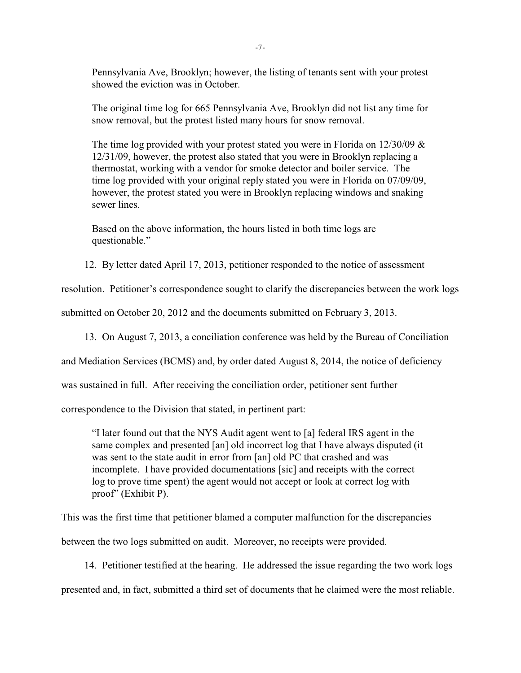Pennsylvania Ave, Brooklyn; however, the listing of tenants sent with your protest showed the eviction was in October.

The original time log for 665 Pennsylvania Ave, Brooklyn did not list any time for snow removal, but the protest listed many hours for snow removal.

The time log provided with your protest stated you were in Florida on  $12/30/09$  & 12/31/09, however, the protest also stated that you were in Brooklyn replacing a thermostat, working with a vendor for smoke detector and boiler service. The time log provided with your original reply stated you were in Florida on 07/09/09, however, the protest stated you were in Brooklyn replacing windows and snaking sewer lines.

Based on the above information, the hours listed in both time logs are questionable."

12. By letter dated April 17, 2013, petitioner responded to the notice of assessment

resolution. Petitioner's correspondence sought to clarify the discrepancies between the work logs

submitted on October 20, 2012 and the documents submitted on February 3, 2013.

13. On August 7, 2013, a conciliation conference was held by the Bureau of Conciliation

and Mediation Services (BCMS) and, by order dated August 8, 2014, the notice of deficiency

was sustained in full. After receiving the conciliation order, petitioner sent further

correspondence to the Division that stated, in pertinent part:

"I later found out that the NYS Audit agent went to [a] federal IRS agent in the same complex and presented [an] old incorrect log that I have always disputed (it was sent to the state audit in error from [an] old PC that crashed and was incomplete. I have provided documentations [sic] and receipts with the correct log to prove time spent) the agent would not accept or look at correct log with proof" (Exhibit P).

This was the first time that petitioner blamed a computer malfunction for the discrepancies

between the two logs submitted on audit. Moreover, no receipts were provided.

14. Petitioner testified at the hearing. He addressed the issue regarding the two work logs

presented and, in fact, submitted a third set of documents that he claimed were the most reliable.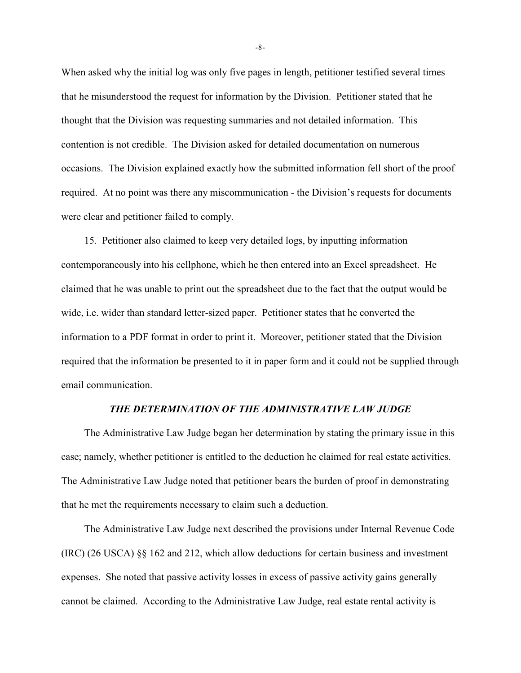When asked why the initial log was only five pages in length, petitioner testified several times that he misunderstood the request for information by the Division. Petitioner stated that he thought that the Division was requesting summaries and not detailed information. This contention is not credible. The Division asked for detailed documentation on numerous occasions. The Division explained exactly how the submitted information fell short of the proof required. At no point was there any miscommunication - the Division's requests for documents were clear and petitioner failed to comply.

15. Petitioner also claimed to keep very detailed logs, by inputting information contemporaneously into his cellphone, which he then entered into an Excel spreadsheet. He claimed that he was unable to print out the spreadsheet due to the fact that the output would be wide, i.e. wider than standard letter-sized paper. Petitioner states that he converted the information to a PDF format in order to print it. Moreover, petitioner stated that the Division required that the information be presented to it in paper form and it could not be supplied through email communication.

### *THE DETERMINATION OF THE ADMINISTRATIVE LAW JUDGE*

The Administrative Law Judge began her determination by stating the primary issue in this case; namely, whether petitioner is entitled to the deduction he claimed for real estate activities. The Administrative Law Judge noted that petitioner bears the burden of proof in demonstrating that he met the requirements necessary to claim such a deduction.

The Administrative Law Judge next described the provisions under Internal Revenue Code (IRC) (26 USCA) §§ 162 and 212, which allow deductions for certain business and investment expenses. She noted that passive activity losses in excess of passive activity gains generally cannot be claimed. According to the Administrative Law Judge, real estate rental activity is

-8-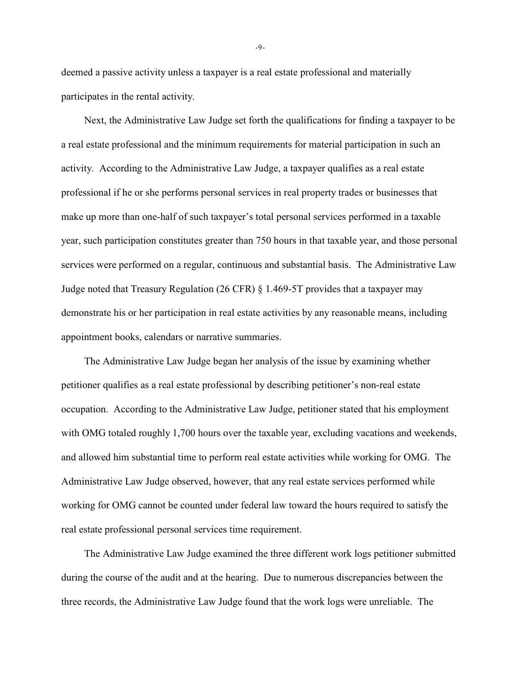deemed a passive activity unless a taxpayer is a real estate professional and materially participates in the rental activity.

Next, the Administrative Law Judge set forth the qualifications for finding a taxpayer to be a real estate professional and the minimum requirements for material participation in such an activity. According to the Administrative Law Judge, a taxpayer qualifies as a real estate professional if he or she performs personal services in real property trades or businesses that make up more than one-half of such taxpayer's total personal services performed in a taxable year, such participation constitutes greater than 750 hours in that taxable year, and those personal services were performed on a regular, continuous and substantial basis. The Administrative Law Judge noted that Treasury Regulation (26 CFR) § 1.469-5T provides that a taxpayer may demonstrate his or her participation in real estate activities by any reasonable means, including appointment books, calendars or narrative summaries.

The Administrative Law Judge began her analysis of the issue by examining whether petitioner qualifies as a real estate professional by describing petitioner's non-real estate occupation. According to the Administrative Law Judge, petitioner stated that his employment with OMG totaled roughly 1,700 hours over the taxable year, excluding vacations and weekends, and allowed him substantial time to perform real estate activities while working for OMG. The Administrative Law Judge observed, however, that any real estate services performed while working for OMG cannot be counted under federal law toward the hours required to satisfy the real estate professional personal services time requirement.

The Administrative Law Judge examined the three different work logs petitioner submitted during the course of the audit and at the hearing. Due to numerous discrepancies between the three records, the Administrative Law Judge found that the work logs were unreliable. The

-9-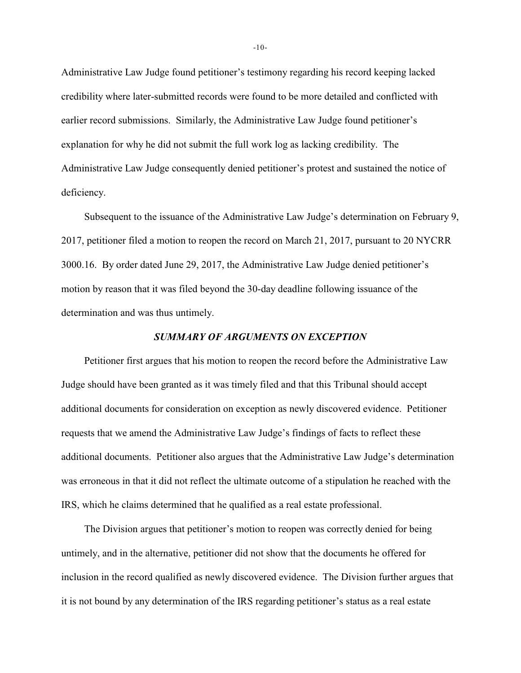Administrative Law Judge found petitioner's testimony regarding his record keeping lacked credibility where later-submitted records were found to be more detailed and conflicted with earlier record submissions. Similarly, the Administrative Law Judge found petitioner's explanation for why he did not submit the full work log as lacking credibility. The Administrative Law Judge consequently denied petitioner's protest and sustained the notice of deficiency.

Subsequent to the issuance of the Administrative Law Judge's determination on February 9, 2017, petitioner filed a motion to reopen the record on March 21, 2017, pursuant to 20 NYCRR 3000.16. By order dated June 29, 2017, the Administrative Law Judge denied petitioner's motion by reason that it was filed beyond the 30-day deadline following issuance of the determination and was thus untimely.

#### *SUMMARY OF ARGUMENTS ON EXCEPTION*

Petitioner first argues that his motion to reopen the record before the Administrative Law Judge should have been granted as it was timely filed and that this Tribunal should accept additional documents for consideration on exception as newly discovered evidence. Petitioner requests that we amend the Administrative Law Judge's findings of facts to reflect these additional documents. Petitioner also argues that the Administrative Law Judge's determination was erroneous in that it did not reflect the ultimate outcome of a stipulation he reached with the IRS, which he claims determined that he qualified as a real estate professional.

The Division argues that petitioner's motion to reopen was correctly denied for being untimely, and in the alternative, petitioner did not show that the documents he offered for inclusion in the record qualified as newly discovered evidence. The Division further argues that it is not bound by any determination of the IRS regarding petitioner's status as a real estate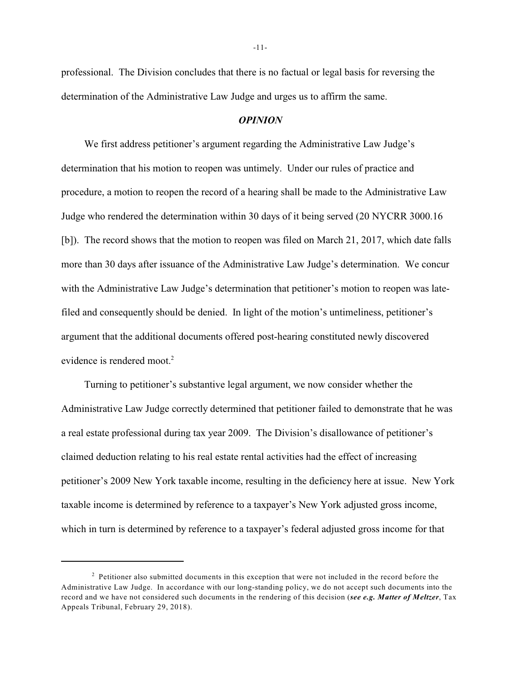professional. The Division concludes that there is no factual or legal basis for reversing the determination of the Administrative Law Judge and urges us to affirm the same.

#### *OPINION*

We first address petitioner's argument regarding the Administrative Law Judge's determination that his motion to reopen was untimely. Under our rules of practice and procedure, a motion to reopen the record of a hearing shall be made to the Administrative Law Judge who rendered the determination within 30 days of it being served (20 NYCRR 3000.16 [b]). The record shows that the motion to reopen was filed on March 21, 2017, which date falls more than 30 days after issuance of the Administrative Law Judge's determination. We concur with the Administrative Law Judge's determination that petitioner's motion to reopen was latefiled and consequently should be denied. In light of the motion's untimeliness, petitioner's argument that the additional documents offered post-hearing constituted newly discovered evidence is rendered moot.<sup>2</sup>

Turning to petitioner's substantive legal argument, we now consider whether the Administrative Law Judge correctly determined that petitioner failed to demonstrate that he was a real estate professional during tax year 2009. The Division's disallowance of petitioner's claimed deduction relating to his real estate rental activities had the effect of increasing petitioner's 2009 New York taxable income, resulting in the deficiency here at issue. New York taxable income is determined by reference to a taxpayer's New York adjusted gross income, which in turn is determined by reference to a taxpayer's federal adjusted gross income for that

<sup>&</sup>lt;sup>2</sup> Petitioner also submitted documents in this exception that were not included in the record before the Administrative Law Judge. In accordance with our long-standing policy, we do not accept such documents into the record and we have not considered such documents in the rendering of this decision (*see e.g. Matter of Meltzer*, Tax Appeals Tribunal, February 29, 2018).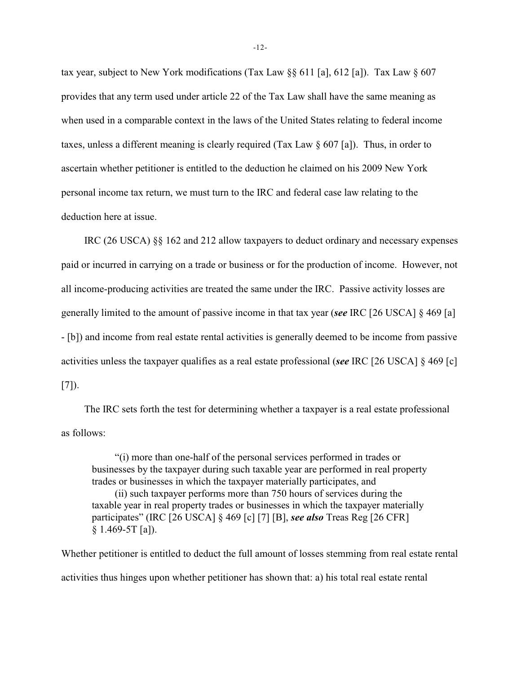tax year, subject to New York modifications (Tax Law §§ 611 [a], 612 [a]). Tax Law § 607 provides that any term used under article 22 of the Tax Law shall have the same meaning as when used in a comparable context in the laws of the United States relating to federal income taxes, unless a different meaning is clearly required (Tax Law § 607 [a]). Thus, in order to ascertain whether petitioner is entitled to the deduction he claimed on his 2009 New York personal income tax return, we must turn to the IRC and federal case law relating to the deduction here at issue.

IRC (26 USCA) §§ 162 and 212 allow taxpayers to deduct ordinary and necessary expenses paid or incurred in carrying on a trade or business or for the production of income. However, not all income-producing activities are treated the same under the IRC. Passive activity losses are generally limited to the amount of passive income in that tax year (*see* IRC [26 USCA] § 469 [a] - [b]) and income from real estate rental activities is generally deemed to be income from passive activities unless the taxpayer qualifies as a real estate professional (*see* IRC [26 USCA] § 469 [c]  $[7]$ .

The IRC sets forth the test for determining whether a taxpayer is a real estate professional as follows:

"(i) more than one-half of the personal services performed in trades or businesses by the taxpayer during such taxable year are performed in real property trades or businesses in which the taxpayer materially participates, and (ii) such taxpayer performs more than 750 hours of services during the taxable year in real property trades or businesses in which the taxpayer materially participates" (IRC [26 USCA] § 469 [c] [7] [B], *see also* Treas Reg [26 CFR] § 1.469-5T [a]).

Whether petitioner is entitled to deduct the full amount of losses stemming from real estate rental activities thus hinges upon whether petitioner has shown that: a) his total real estate rental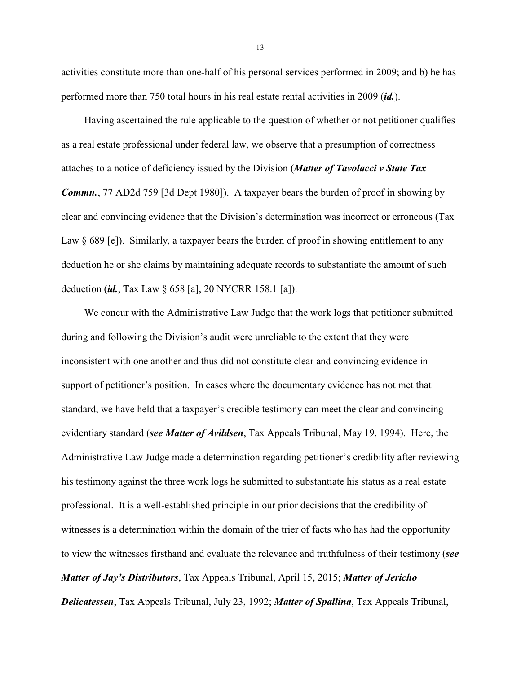activities constitute more than one-half of his personal services performed in 2009; and b) he has performed more than 750 total hours in his real estate rental activities in 2009 (*id.*).

Having ascertained the rule applicable to the question of whether or not petitioner qualifies as a real estate professional under federal law, we observe that a presumption of correctness attaches to a notice of deficiency issued by the Division (*Matter of Tavolacci v State Tax Commn.*, 77 AD2d 759 [3d Dept 1980]). A taxpayer bears the burden of proof in showing by clear and convincing evidence that the Division's determination was incorrect or erroneous (Tax Law § 689 [e]). Similarly, a taxpayer bears the burden of proof in showing entitlement to any deduction he or she claims by maintaining adequate records to substantiate the amount of such deduction (*id.*, Tax Law § 658 [a], 20 NYCRR 158.1 [a]).

We concur with the Administrative Law Judge that the work logs that petitioner submitted during and following the Division's audit were unreliable to the extent that they were inconsistent with one another and thus did not constitute clear and convincing evidence in support of petitioner's position. In cases where the documentary evidence has not met that standard, we have held that a taxpayer's credible testimony can meet the clear and convincing evidentiary standard (*see Matter of Avildsen*, Tax Appeals Tribunal, May 19, 1994). Here, the Administrative Law Judge made a determination regarding petitioner's credibility after reviewing his testimony against the three work logs he submitted to substantiate his status as a real estate professional. It is a well-established principle in our prior decisions that the credibility of witnesses is a determination within the domain of the trier of facts who has had the opportunity to view the witnesses firsthand and evaluate the relevance and truthfulness of their testimony (*see Matter of Jay's Distributors*, Tax Appeals Tribunal, April 15, 2015; *Matter of Jericho Delicatessen*, Tax Appeals Tribunal, July 23, 1992; *Matter of Spallina*, Tax Appeals Tribunal,

-13-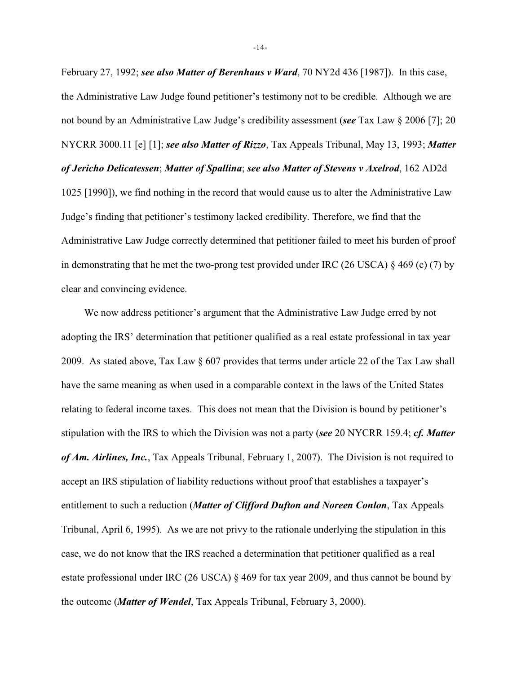February 27, 1992; *see also Matter of Berenhaus v Ward*, 70 NY2d 436 [1987]). In this case, the Administrative Law Judge found petitioner's testimony not to be credible. Although we are not bound by an Administrative Law Judge's credibility assessment (*see* Tax Law § 2006 [7]; 20 NYCRR 3000.11 [e] [1]; *see also Matter of Rizzo*, Tax Appeals Tribunal, May 13, 1993; *Matter of Jericho Delicatessen*; *Matter of Spallina*; *see also Matter of Stevens v Axelrod*, 162 AD2d 1025 [1990]), we find nothing in the record that would cause us to alter the Administrative Law Judge's finding that petitioner's testimony lacked credibility. Therefore, we find that the Administrative Law Judge correctly determined that petitioner failed to meet his burden of proof in demonstrating that he met the two-prong test provided under IRC (26 USCA)  $\S$  469 (c) (7) by clear and convincing evidence.

We now address petitioner's argument that the Administrative Law Judge erred by not adopting the IRS' determination that petitioner qualified as a real estate professional in tax year 2009. As stated above, Tax Law § 607 provides that terms under article 22 of the Tax Law shall have the same meaning as when used in a comparable context in the laws of the United States relating to federal income taxes. This does not mean that the Division is bound by petitioner's stipulation with the IRS to which the Division was not a party (*see* 20 NYCRR 159.4; *cf. Matter of Am. Airlines, Inc.*, Tax Appeals Tribunal, February 1, 2007). The Division is not required to accept an IRS stipulation of liability reductions without proof that establishes a taxpayer's entitlement to such a reduction (*Matter of Clifford Dufton and Noreen Conlon*, Tax Appeals Tribunal, April 6, 1995). As we are not privy to the rationale underlying the stipulation in this case, we do not know that the IRS reached a determination that petitioner qualified as a real estate professional under IRC (26 USCA) § 469 for tax year 2009, and thus cannot be bound by the outcome (*Matter of Wendel*, Tax Appeals Tribunal, February 3, 2000).

-14-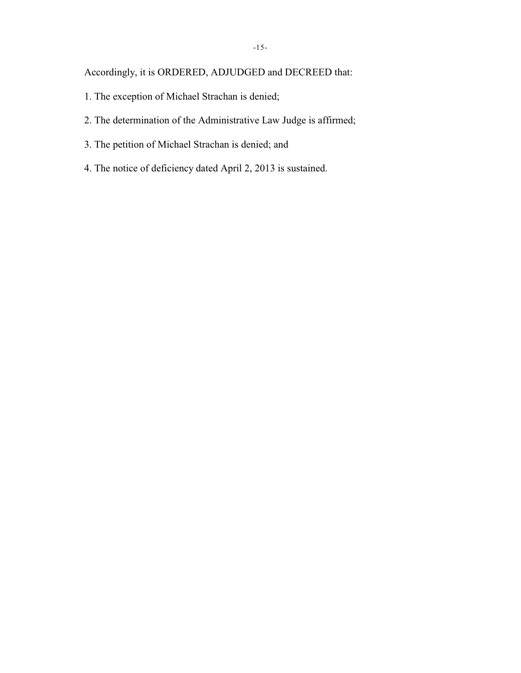# Accordingly, it is ORDERED, ADJUDGED and DECREED that:

- 1. The exception of Michael Strachan is denied;
- 2. The determination of the Administrative Law Judge is affirmed;
- 3. The petition of Michael Strachan is denied; and
- 4. The notice of deficiency dated April 2, 2013 is sustained.